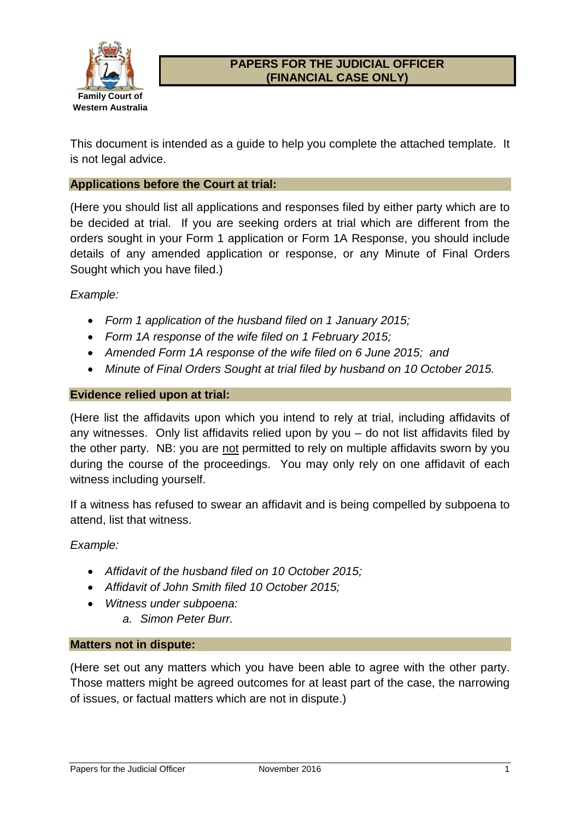

## **PAPERS FOR THE JUDICIAL OFFICER (FINANCIAL CASE ONLY)**

This document is intended as a guide to help you complete the attached template. It is not legal advice.

#### **Applications before the Court at trial:**

(Here you should list all applications and responses filed by either party which are to be decided at trial. If you are seeking orders at trial which are different from the orders sought in your Form 1 application or Form 1A Response, you should include details of any amended application or response, or any Minute of Final Orders Sought which you have filed.)

#### *Example:*

- *Form 1 application of the husband filed on 1 January 2015;*
- *Form 1A response of the wife filed on 1 February 2015;*
- *Amended Form 1A response of the wife filed on 6 June 2015; and*
- *Minute of Final Orders Sought at trial filed by husband on 10 October 2015.*

#### **Evidence relied upon at trial:**

(Here list the affidavits upon which you intend to rely at trial, including affidavits of any witnesses. Only list affidavits relied upon by you – do not list affidavits filed by the other party. NB: you are not permitted to rely on multiple affidavits sworn by you during the course of the proceedings. You may only rely on one affidavit of each witness including yourself.

If a witness has refused to swear an affidavit and is being compelled by subpoena to attend, list that witness.

*Example:*

- *Affidavit of the husband filed on 10 October 2015;*
- *Affidavit of John Smith filed 10 October 2015;*
- *Witness under subpoena:*
	- *a. Simon Peter Burr.*

#### **Matters not in dispute:**

(Here set out any matters which you have been able to agree with the other party. Those matters might be agreed outcomes for at least part of the case, the narrowing of issues, or factual matters which are not in dispute.)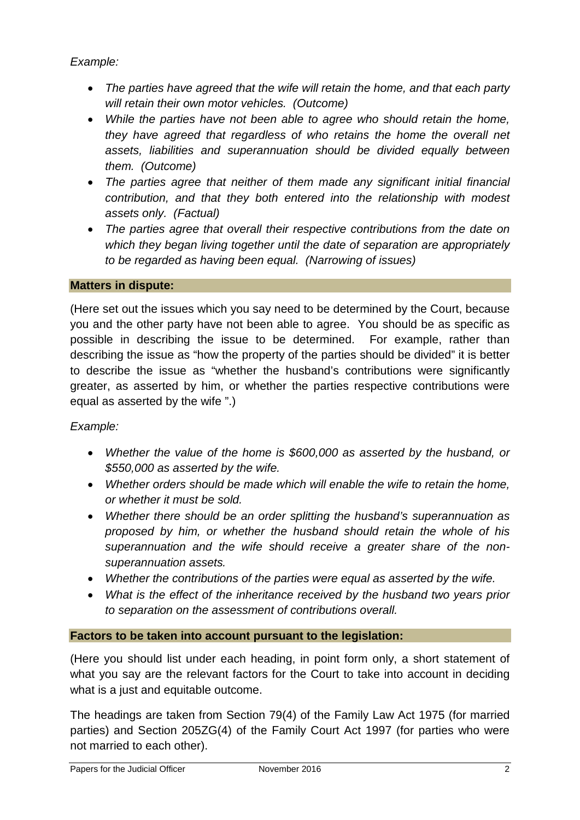*Example:*

- *The parties have agreed that the wife will retain the home, and that each party will retain their own motor vehicles. (Outcome)*
- *While the parties have not been able to agree who should retain the home, they have agreed that regardless of who retains the home the overall net assets, liabilities and superannuation should be divided equally between them. (Outcome)*
- *The parties agree that neither of them made any significant initial financial contribution, and that they both entered into the relationship with modest assets only. (Factual)*
- *The parties agree that overall their respective contributions from the date on which they began living together until the date of separation are appropriately to be regarded as having been equal. (Narrowing of issues)*

## **Matters in dispute:**

(Here set out the issues which you say need to be determined by the Court, because you and the other party have not been able to agree. You should be as specific as possible in describing the issue to be determined. For example, rather than describing the issue as "how the property of the parties should be divided" it is better to describe the issue as "whether the husband's contributions were significantly greater, as asserted by him, or whether the parties respective contributions were equal as asserted by the wife ".)

## *Example:*

- *Whether the value of the home is \$600,000 as asserted by the husband, or \$550,000 as asserted by the wife.*
- *Whether orders should be made which will enable the wife to retain the home, or whether it must be sold.*
- *Whether there should be an order splitting the husband's superannuation as proposed by him, or whether the husband should retain the whole of his superannuation and the wife should receive a greater share of the nonsuperannuation assets.*
- *Whether the contributions of the parties were equal as asserted by the wife.*
- *What is the effect of the inheritance received by the husband two years prior to separation on the assessment of contributions overall.*

## **Factors to be taken into account pursuant to the legislation:**

(Here you should list under each heading, in point form only, a short statement of what you say are the relevant factors for the Court to take into account in deciding what is a just and equitable outcome.

The headings are taken from Section 79(4) of the Family Law Act 1975 (for married parties) and Section 205ZG(4) of the Family Court Act 1997 (for parties who were not married to each other).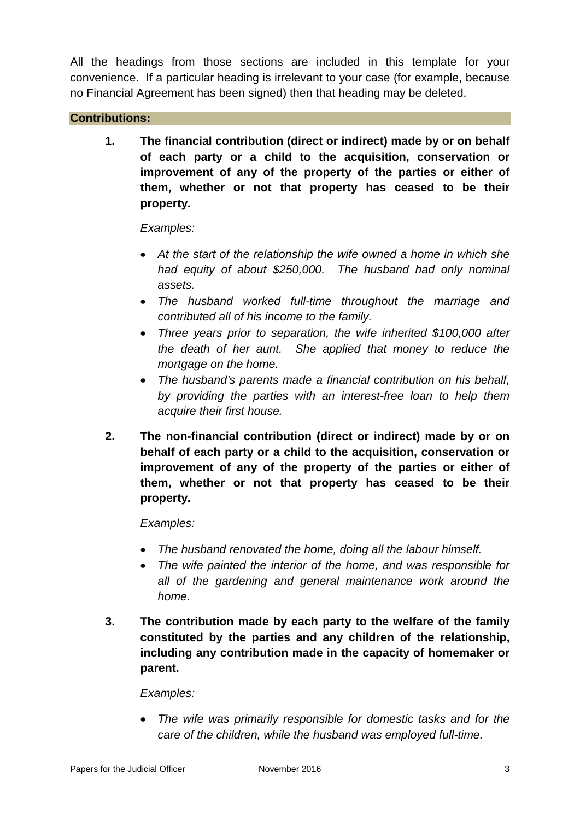All the headings from those sections are included in this template for your convenience. If a particular heading is irrelevant to your case (for example, because no Financial Agreement has been signed) then that heading may be deleted.

### **Contributions:**

**1. The financial contribution (direct or indirect) made by or on behalf of each party or a child to the acquisition, conservation or improvement of any of the property of the parties or either of them, whether or not that property has ceased to be their property.**

#### *Examples:*

- *At the start of the relationship the wife owned a home in which she had equity of about \$250,000. The husband had only nominal assets.*
- *The husband worked full-time throughout the marriage and contributed all of his income to the family.*
- *Three years prior to separation, the wife inherited \$100,000 after the death of her aunt. She applied that money to reduce the mortgage on the home.*
- *The husband's parents made a financial contribution on his behalf, by providing the parties with an interest-free loan to help them acquire their first house.*
- **2. The non-financial contribution (direct or indirect) made by or on behalf of each party or a child to the acquisition, conservation or improvement of any of the property of the parties or either of them, whether or not that property has ceased to be their property.**

## *Examples:*

- *The husband renovated the home, doing all the labour himself.*
- *The wife painted the interior of the home, and was responsible for all of the gardening and general maintenance work around the home.*
- **3. The contribution made by each party to the welfare of the family constituted by the parties and any children of the relationship, including any contribution made in the capacity of homemaker or parent.**

#### *Examples:*

• *The wife was primarily responsible for domestic tasks and for the care of the children, while the husband was employed full-time.*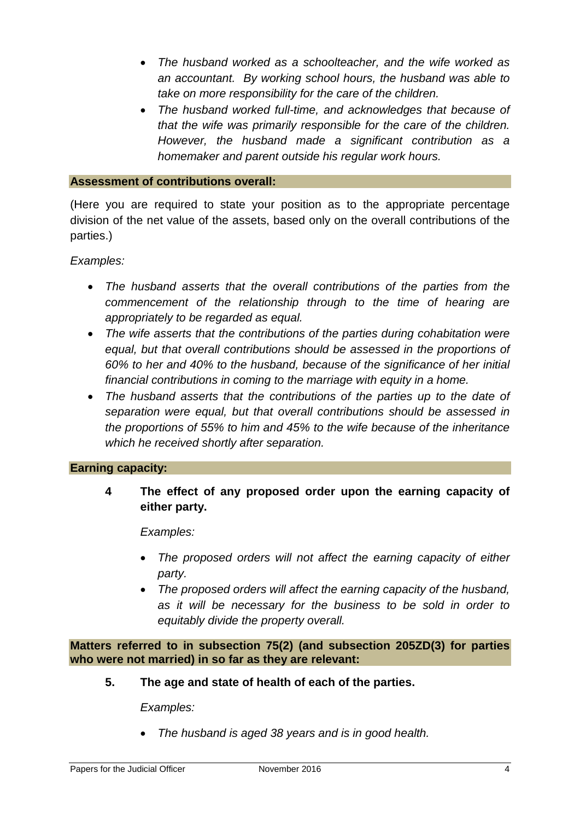- *The husband worked as a schoolteacher, and the wife worked as an accountant. By working school hours, the husband was able to take on more responsibility for the care of the children.*
- *The husband worked full-time, and acknowledges that because of that the wife was primarily responsible for the care of the children. However, the husband made a significant contribution as a homemaker and parent outside his regular work hours.*

#### **Assessment of contributions overall:**

(Here you are required to state your position as to the appropriate percentage division of the net value of the assets, based only on the overall contributions of the parties.)

*Examples:*

- *The husband asserts that the overall contributions of the parties from the commencement of the relationship through to the time of hearing are appropriately to be regarded as equal.*
- *The wife asserts that the contributions of the parties during cohabitation were equal, but that overall contributions should be assessed in the proportions of 60% to her and 40% to the husband, because of the significance of her initial financial contributions in coming to the marriage with equity in a home.*
- *The husband asserts that the contributions of the parties up to the date of separation were equal, but that overall contributions should be assessed in the proportions of 55% to him and 45% to the wife because of the inheritance which he received shortly after separation.*

#### **Earning capacity:**

**4 The effect of any proposed order upon the earning capacity of either party.**

*Examples:*

- *The proposed orders will not affect the earning capacity of either party.*
- *The proposed orders will affect the earning capacity of the husband, as it will be necessary for the business to be sold in order to equitably divide the property overall.*

**Matters referred to in subsection 75(2) (and subsection 205ZD(3) for parties who were not married) in so far as they are relevant:**

**5. The age and state of health of each of the parties.**

*Examples:*

• *The husband is aged 38 years and is in good health.*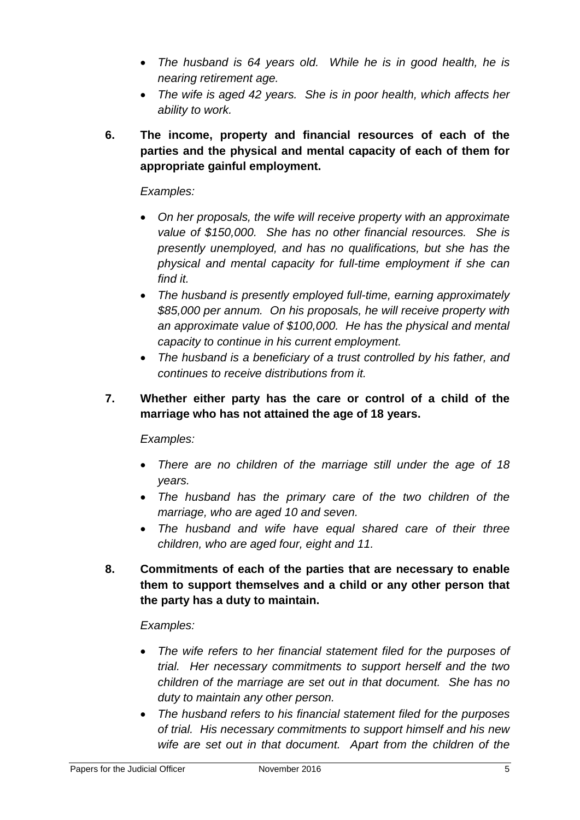- *The husband is 64 years old. While he is in good health, he is nearing retirement age.*
- *The wife is aged 42 years. She is in poor health, which affects her ability to work.*
- **6. The income, property and financial resources of each of the parties and the physical and mental capacity of each of them for appropriate gainful employment.**

## *Examples:*

- *On her proposals, the wife will receive property with an approximate value of \$150,000. She has no other financial resources. She is presently unemployed, and has no qualifications, but she has the physical and mental capacity for full-time employment if she can find it.*
- *The husband is presently employed full-time, earning approximately \$85,000 per annum. On his proposals, he will receive property with an approximate value of \$100,000. He has the physical and mental capacity to continue in his current employment.*
- *The husband is a beneficiary of a trust controlled by his father, and continues to receive distributions from it.*

# **7. Whether either party has the care or control of a child of the marriage who has not attained the age of 18 years.**

## *Examples:*

- *There are no children of the marriage still under the age of 18 years.*
- *The husband has the primary care of the two children of the marriage, who are aged 10 and seven.*
- *The husband and wife have equal shared care of their three children, who are aged four, eight and 11.*
- **8. Commitments of each of the parties that are necessary to enable them to support themselves and a child or any other person that the party has a duty to maintain.**

## *Examples:*

- *The wife refers to her financial statement filed for the purposes of trial. Her necessary commitments to support herself and the two children of the marriage are set out in that document. She has no duty to maintain any other person.*
- *The husband refers to his financial statement filed for the purposes of trial. His necessary commitments to support himself and his new wife are set out in that document. Apart from the children of the*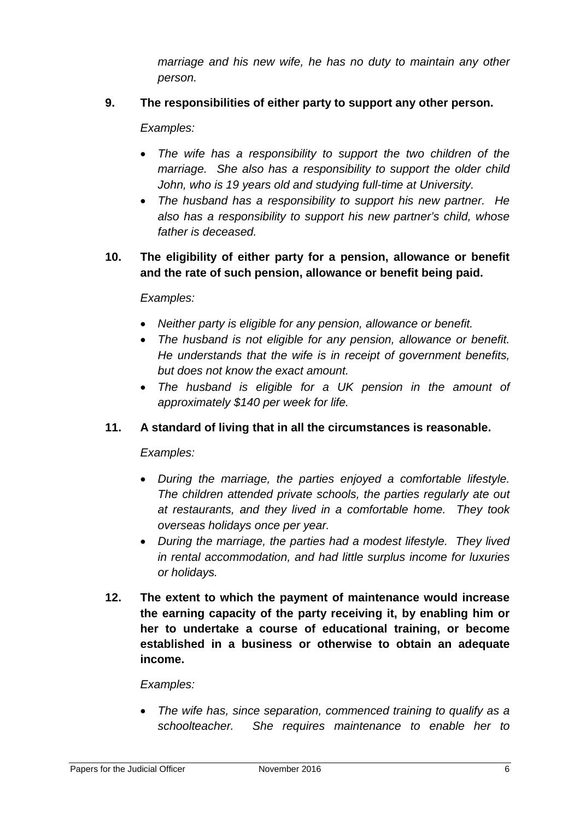*marriage and his new wife, he has no duty to maintain any other person.*

# **9. The responsibilities of either party to support any other person.**

#### *Examples:*

- *The wife has a responsibility to support the two children of the marriage.* She also has a responsibility to support the older child *John, who is 19 years old and studying full-time at University.*
- *The husband has a responsibility to support his new partner. He also has a responsibility to support his new partner's child, whose father is deceased.*

## **10. The eligibility of either party for a pension, allowance or benefit and the rate of such pension, allowance or benefit being paid.**

#### *Examples:*

- *Neither party is eligible for any pension, allowance or benefit.*
- *The husband is not eligible for any pension, allowance or benefit. He understands that the wife is in receipt of government benefits, but does not know the exact amount.*
- *The husband is eligible for a UK pension in the amount of approximately \$140 per week for life.*

## **11. A standard of living that in all the circumstances is reasonable.**

#### *Examples:*

- *During the marriage, the parties enjoyed a comfortable lifestyle. The children attended private schools, the parties regularly ate out at restaurants, and they lived in a comfortable home. They took overseas holidays once per year.*
- *During the marriage, the parties had a modest lifestyle. They lived in rental accommodation, and had little surplus income for luxuries or holidays.*
- **12. The extent to which the payment of maintenance would increase the earning capacity of the party receiving it, by enabling him or her to undertake a course of educational training, or become established in a business or otherwise to obtain an adequate income.**

#### *Examples:*

• *The wife has, since separation, commenced training to qualify as a schoolteacher. She requires maintenance to enable her to*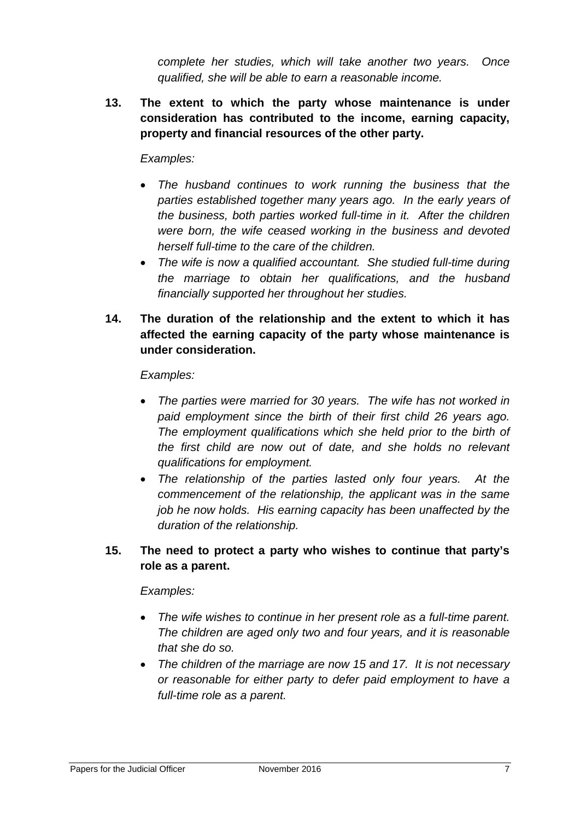*complete her studies, which will take another two years. Once qualified, she will be able to earn a reasonable income.*

**13. The extent to which the party whose maintenance is under consideration has contributed to the income, earning capacity, property and financial resources of the other party.**

### *Examples:*

- *The husband continues to work running the business that the parties established together many years ago. In the early years of the business, both parties worked full-time in it. After the children were born, the wife ceased working in the business and devoted herself full-time to the care of the children.*
- *The wife is now a qualified accountant. She studied full-time during the marriage to obtain her qualifications, and the husband financially supported her throughout her studies.*
- **14. The duration of the relationship and the extent to which it has affected the earning capacity of the party whose maintenance is under consideration.**

#### *Examples:*

- *The parties were married for 30 years. The wife has not worked in paid employment since the birth of their first child 26 years ago. The employment qualifications which she held prior to the birth of the first child are now out of date, and she holds no relevant qualifications for employment.*
- *The relationship of the parties lasted only four years. At the commencement of the relationship, the applicant was in the same job he now holds. His earning capacity has been unaffected by the duration of the relationship.*

# **15. The need to protect a party who wishes to continue that party's role as a parent.**

#### *Examples:*

- *The wife wishes to continue in her present role as a full-time parent. The children are aged only two and four years, and it is reasonable that she do so.*
- *The children of the marriage are now 15 and 17. It is not necessary or reasonable for either party to defer paid employment to have a full-time role as a parent.*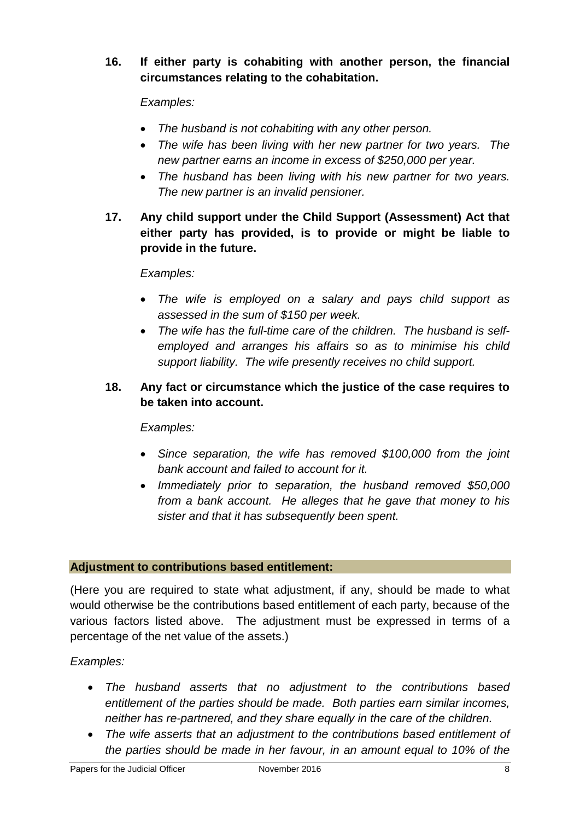**16. If either party is cohabiting with another person, the financial circumstances relating to the cohabitation.**

# *Examples:*

- *The husband is not cohabiting with any other person.*
- *The wife has been living with her new partner for two years. The new partner earns an income in excess of \$250,000 per year.*
- *The husband has been living with his new partner for two years. The new partner is an invalid pensioner.*
- **17. Any child support under the Child Support (Assessment) Act that either party has provided, is to provide or might be liable to provide in the future.**

## *Examples:*

- *The wife is employed on a salary and pays child support as assessed in the sum of \$150 per week.*
- *The wife has the full-time care of the children. The husband is selfemployed and arranges his affairs so as to minimise his child support liability. The wife presently receives no child support.*

# **18. Any fact or circumstance which the justice of the case requires to be taken into account.**

## *Examples:*

- *Since separation, the wife has removed \$100,000 from the joint bank account and failed to account for it.*
- *Immediately prior to separation, the husband removed \$50,000 from a bank account. He alleges that he gave that money to his sister and that it has subsequently been spent.*

## **Adjustment to contributions based entitlement:**

(Here you are required to state what adjustment, if any, should be made to what would otherwise be the contributions based entitlement of each party, because of the various factors listed above. The adjustment must be expressed in terms of a percentage of the net value of the assets.)

## *Examples:*

- *The husband asserts that no adjustment to the contributions based entitlement of the parties should be made. Both parties earn similar incomes, neither has re-partnered, and they share equally in the care of the children.*
- *The wife asserts that an adjustment to the contributions based entitlement of the parties should be made in her favour, in an amount equal to 10% of the*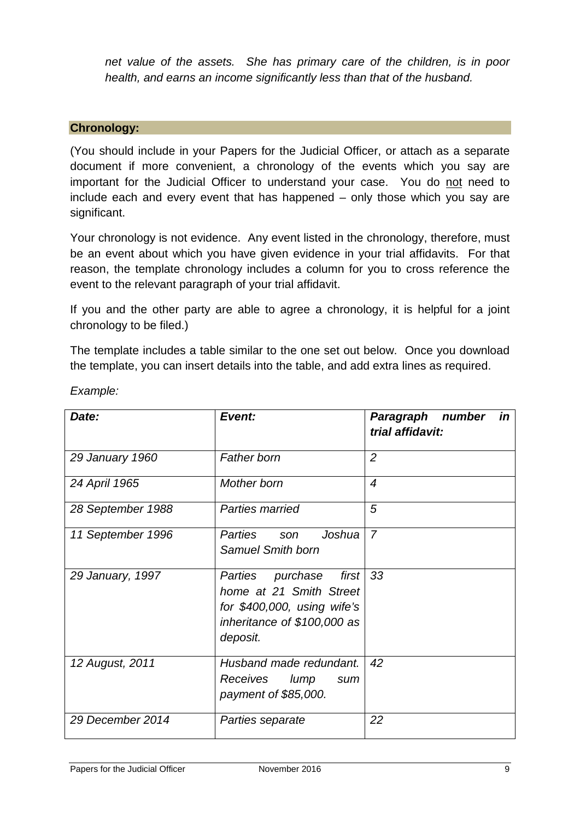*net value of the assets. She has primary care of the children, is in poor health, and earns an income significantly less than that of the husband.*

#### **Chronology:**

(You should include in your Papers for the Judicial Officer, or attach as a separate document if more convenient, a chronology of the events which you say are important for the Judicial Officer to understand your case. You do not need to include each and every event that has happened – only those which you say are significant.

Your chronology is not evidence. Any event listed in the chronology, therefore, must be an event about which you have given evidence in your trial affidavits. For that reason, the template chronology includes a column for you to cross reference the event to the relevant paragraph of your trial affidavit.

If you and the other party are able to agree a chronology, it is helpful for a joint chronology to be filed.)

The template includes a table similar to the one set out below. Once you download the template, you can insert details into the table, and add extra lines as required.

| Date:             | Event:                                                                                                                                       | in<br>Paragraph<br>number<br>trial affidavit: |
|-------------------|----------------------------------------------------------------------------------------------------------------------------------------------|-----------------------------------------------|
| 29 January 1960   | <b>Father born</b>                                                                                                                           | $\overline{2}$                                |
| 24 April 1965     | Mother born                                                                                                                                  | $\boldsymbol{4}$                              |
| 28 September 1988 | Parties married                                                                                                                              | 5                                             |
| 11 September 1996 | Parties<br>Joshua<br>son<br>Samuel Smith born                                                                                                | $\overline{7}$                                |
| 29 January, 1997  | first  <br><b>Parties</b><br>purchase<br>home at 21 Smith Street<br>for $$400,000$ , using wife's<br>inheritance of \$100,000 as<br>deposit. | 33                                            |
| 12 August, 2011   | Husband made redundant.<br>Receives<br>lump<br>sum<br>payment of \$85,000.                                                                   | 42                                            |
| 29 December 2014  | Parties separate                                                                                                                             | 22                                            |

*Example:*